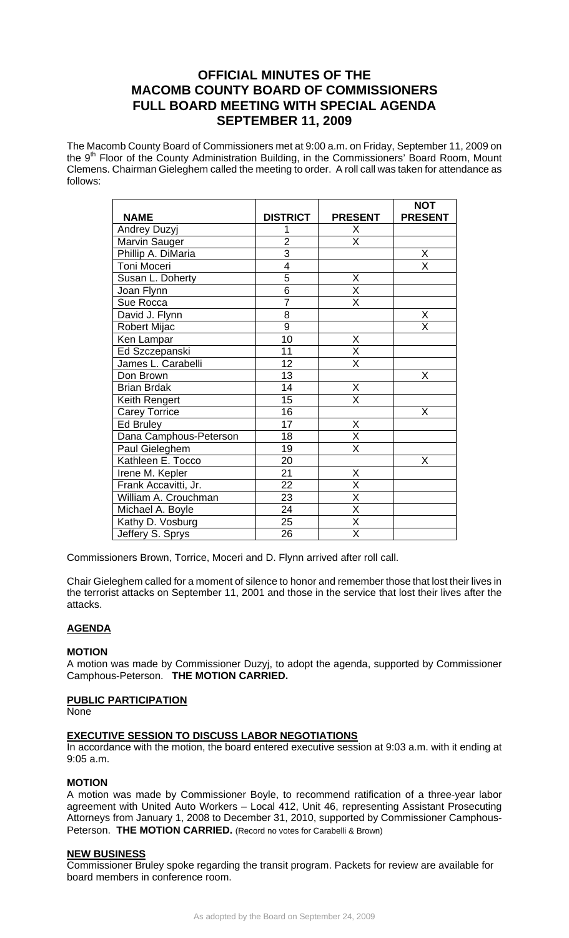# **OFFICIAL MINUTES OF THE MACOMB COUNTY BOARD OF COMMISSIONERS FULL BOARD MEETING WITH SPECIAL AGENDA SEPTEMBER 11, 2009**

The Macomb County Board of Commissioners met at 9:00 a.m. on Friday, September 11, 2009 on the 9<sup>th</sup> Floor of the County Administration Building, in the Commissioners' Board Room, Mount Clemens. Chairman Gieleghem called the meeting to order. A roll call was taken for attendance as follows:

|                        |                 |                         | <b>NOT</b>              |
|------------------------|-----------------|-------------------------|-------------------------|
| <b>NAME</b>            | <b>DISTRICT</b> | <b>PRESENT</b>          | <b>PRESENT</b>          |
| <b>Andrey Duzyj</b>    | 1               | X                       |                         |
| Marvin Sauger          | $\overline{c}$  | $\overline{\mathsf{x}}$ |                         |
| Phillip A. DiMaria     | $\overline{3}$  |                         | X                       |
| Toni Moceri            | $\overline{4}$  |                         | $\overline{\mathsf{x}}$ |
| Susan L. Doherty       | $\overline{5}$  | Χ                       |                         |
| Joan Flynn             | $\overline{6}$  | $\overline{\mathsf{x}}$ |                         |
| Sue Rocca              | $\overline{7}$  | X                       |                         |
| David J. Flynn         | 8               |                         | X                       |
| <b>Robert Mijac</b>    | $\overline{9}$  |                         | $\overline{\mathsf{x}}$ |
| Ken Lampar             | 10              | Χ                       |                         |
| Ed Szczepanski         | 11              | X                       |                         |
| James L. Carabelli     | 12              | $\overline{\mathsf{X}}$ |                         |
| Don Brown              | 13              |                         | X                       |
| <b>Brian Brdak</b>     | 14              | Χ                       |                         |
| Keith Rengert          | 15              | $\overline{\mathsf{x}}$ |                         |
| <b>Carey Torrice</b>   | 16              |                         | Χ                       |
| Ed Bruley              | 17              | X                       |                         |
| Dana Camphous-Peterson | 18              | $\overline{\mathsf{x}}$ |                         |
| Paul Gieleghem         | 19              | $\overline{\mathsf{x}}$ |                         |
| Kathleen E. Tocco      | 20              |                         | X                       |
| Irene M. Kepler        | 21              | X                       |                         |
| Frank Accavitti, Jr.   | 22              | X                       |                         |
| William A. Crouchman   | 23              | X                       |                         |
| Michael A. Boyle       | $\overline{24}$ | $\overline{\mathsf{x}}$ |                         |
| Kathy D. Vosburg       | 25              | $\overline{\mathsf{x}}$ |                         |
| Jeffery S. Sprys       | 26              | $\overline{\mathsf{x}}$ |                         |

Commissioners Brown, Torrice, Moceri and D. Flynn arrived after roll call.

Chair Gieleghem called for a moment of silence to honor and remember those that lost their lives in the terrorist attacks on September 11, 2001 and those in the service that lost their lives after the attacks.

## **AGENDA**

#### **MOTION**

A motion was made by Commissioner Duzyj, to adopt the agenda, supported by Commissioner Camphous-Peterson. **THE MOTION CARRIED.** 

#### **PUBLIC PARTICIPATION**

None

#### **EXECUTIVE SESSION TO DISCUSS LABOR NEGOTIATIONS**

In accordance with the motion, the board entered executive session at 9:03 a.m. with it ending at 9:05 a.m.

#### **MOTION**

A motion was made by Commissioner Boyle, to recommend ratification of a three-year labor agreement with United Auto Workers – Local 412, Unit 46, representing Assistant Prosecuting Attorneys from January 1, 2008 to December 31, 2010, supported by Commissioner Camphous-Peterson. **THE MOTION CARRIED.** (Record no votes for Carabelli & Brown)

#### **NEW BUSINESS**

Commissioner Bruley spoke regarding the transit program. Packets for review are available for board members in conference room.